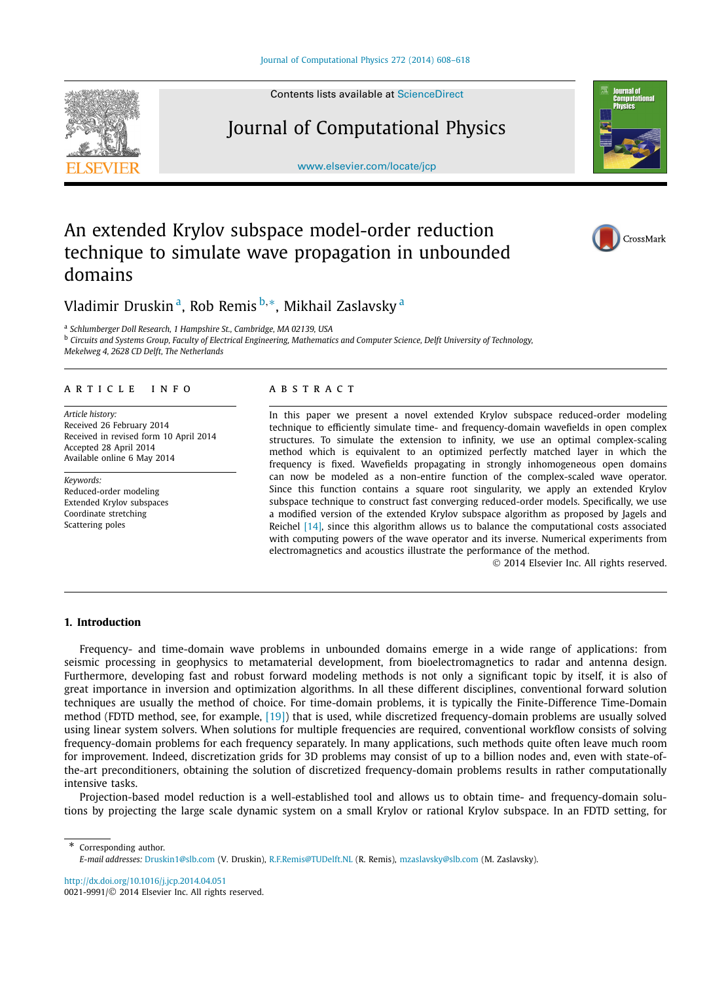Contents lists available at [ScienceDirect](http://www.ScienceDirect.com/)

## Journal of Computational Physics

[www.elsevier.com/locate/jcp](http://www.elsevier.com/locate/jcp)

# An extended Krylov subspace model-order reduction technique to simulate wave propagation in unbounded domains

Vladimir Druskin a, Rob Remis <sup>b</sup>*,*∗, Mikhail Zaslavsky <sup>a</sup>

<sup>a</sup> *Schlumberger Doll Research, 1 Hampshire St., Cambridge, MA 02139, USA*

<sup>b</sup> *Circuits and Systems Group, Faculty of Electrical Engineering, Mathematics and Computer Science, Delft University of Technology,*

*Mekelweg 4, 2628 CD Delft, The Netherlands*

#### article info abstract

*Article history:* Received 26 February 2014 Received in revised form 10 April 2014 Accepted 28 April 2014 Available online 6 May 2014

*Keywords:* Reduced-order modeling Extended Krylov subspaces Coordinate stretching Scattering poles

In this paper we present a novel extended Krylov subspace reduced-order modeling technique to efficiently simulate time- and frequency-domain wavefields in open complex structures. To simulate the extension to infinity, we use an optimal complex-scaling method which is equivalent to an optimized perfectly matched layer in which the frequency is fixed. Wavefields propagating in strongly inhomogeneous open domains can now be modeled as a non-entire function of the complex-scaled wave operator. Since this function contains a square root singularity, we apply an extended Krylov subspace technique to construct fast converging reduced-order models. Specifically, we use a modified version of the extended Krylov subspace algorithm as proposed by Jagels and Reichel [\[14\],](#page-10-0) since this algorithm allows us to balance the computational costs associated with computing powers of the wave operator and its inverse. Numerical experiments from electromagnetics and acoustics illustrate the performance of the method.

© 2014 Elsevier Inc. All rights reserved.

### **1. Introduction**

Frequency- and time-domain wave problems in unbounded domains emerge in a wide range of applications: from seismic processing in geophysics to metamaterial development, from bioelectromagnetics to radar and antenna design. Furthermore, developing fast and robust forward modeling methods is not only a significant topic by itself, it is also of great importance in inversion and optimization algorithms. In all these different disciplines, conventional forward solution techniques are usually the method of choice. For time-domain problems, it is typically the Finite-Difference Time-Domain method (FDTD method, see, for example, [\[19\]\)](#page-10-0) that is used, while discretized frequency-domain problems are usually solved using linear system solvers. When solutions for multiple frequencies are required, conventional workflow consists of solving frequency-domain problems for each frequency separately. In many applications, such methods quite often leave much room for improvement. Indeed, discretization grids for 3D problems may consist of up to a billion nodes and, even with state-ofthe-art preconditioners, obtaining the solution of discretized frequency-domain problems results in rather computationally intensive tasks.

Projection-based model reduction is a well-established tool and allows us to obtain time- and frequency-domain solutions by projecting the large scale dynamic system on a small Krylov or rational Krylov subspace. In an FDTD setting, for

*E-mail addresses:* [Druskin1@slb.com](mailto:Druskin1@slb.com) (V. Druskin), [R.F.Remis@TUDelft.NL](mailto:R.F.Remis@TUDelft.NL) (R. Remis), [mzaslavsky@slb.com](mailto:mzaslavsky@slb.com) (M. Zaslavsky).

<http://dx.doi.org/10.1016/j.jcp.2014.04.051> 0021-9991/© 2014 Elsevier Inc. All rights reserved.

Corresponding author.





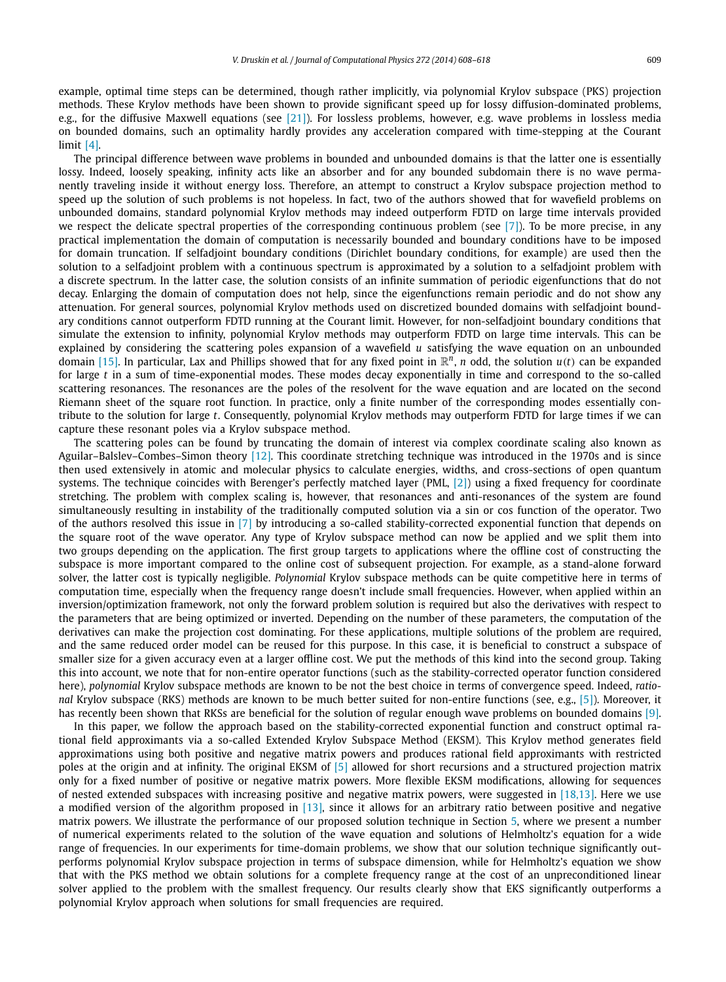example, optimal time steps can be determined, though rather implicitly, via polynomial Krylov subspace (PKS) projection methods. These Krylov methods have been shown to provide significant speed up for lossy diffusion-dominated problems, e.g., for the diffusive Maxwell equations (see [\[21\]\)](#page-10-0). For lossless problems, however, e.g. wave problems in lossless media on bounded domains, such an optimality hardly provides any acceleration compared with time-stepping at the Courant limit [\[4\].](#page-10-0)

The principal difference between wave problems in bounded and unbounded domains is that the latter one is essentially lossy. Indeed, loosely speaking, infinity acts like an absorber and for any bounded subdomain there is no wave permanently traveling inside it without energy loss. Therefore, an attempt to construct a Krylov subspace projection method to speed up the solution of such problems is not hopeless. In fact, two of the authors showed that for wavefield problems on unbounded domains, standard polynomial Krylov methods may indeed outperform FDTD on large time intervals provided we respect the delicate spectral properties of the corresponding continuous problem (see [\[7\]\)](#page-10-0). To be more precise, in any practical implementation the domain of computation is necessarily bounded and boundary conditions have to be imposed for domain truncation. If selfadjoint boundary conditions (Dirichlet boundary conditions, for example) are used then the solution to a selfadjoint problem with a continuous spectrum is approximated by a solution to a selfadjoint problem with a discrete spectrum. In the latter case, the solution consists of an infinite summation of periodic eigenfunctions that do not decay. Enlarging the domain of computation does not help, since the eigenfunctions remain periodic and do not show any attenuation. For general sources, polynomial Krylov methods used on discretized bounded domains with selfadjoint boundary conditions cannot outperform FDTD running at the Courant limit. However, for non-selfadjoint boundary conditions that simulate the extension to infinity, polynomial Krylov methods may outperform FDTD on large time intervals. This can be explained by considering the scattering poles expansion of a wavefield *u* satisfying the wave equation on an unbounded domain [\[15\].](#page-10-0) In particular, Lax and Phillips showed that for any fixed point in  $\mathbb{R}^n$ , *n* odd, the solution  $u(t)$  can be expanded for large *t* in a sum of time-exponential modes. These modes decay exponentially in time and correspond to the so-called scattering resonances. The resonances are the poles of the resolvent for the wave equation and are located on the second Riemann sheet of the square root function. In practice, only a finite number of the corresponding modes essentially contribute to the solution for large *t*. Consequently, polynomial Krylov methods may outperform FDTD for large times if we can capture these resonant poles via a Krylov subspace method.

The scattering poles can be found by truncating the domain of interest via complex coordinate scaling also known as Aguilar–Balslev–Combes–Simon theory [\[12\].](#page-10-0) This coordinate stretching technique was introduced in the 1970s and is since then used extensively in atomic and molecular physics to calculate energies, widths, and cross-sections of open quantum systems. The technique coincides with Berenger's perfectly matched layer (PML, [\[2\]\)](#page-10-0) using a fixed frequency for coordinate stretching. The problem with complex scaling is, however, that resonances and anti-resonances of the system are found simultaneously resulting in instability of the traditionally computed solution via a sin or cos function of the operator. Two of the authors resolved this issue in [\[7\]](#page-10-0) by introducing a so-called stability-corrected exponential function that depends on the square root of the wave operator. Any type of Krylov subspace method can now be applied and we split them into two groups depending on the application. The first group targets to applications where the offline cost of constructing the subspace is more important compared to the online cost of subsequent projection. For example, as a stand-alone forward solver, the latter cost is typically negligible. *Polynomial* Krylov subspace methods can be quite competitive here in terms of computation time, especially when the frequency range doesn't include small frequencies. However, when applied within an inversion/optimization framework, not only the forward problem solution is required but also the derivatives with respect to the parameters that are being optimized or inverted. Depending on the number of these parameters, the computation of the derivatives can make the projection cost dominating. For these applications, multiple solutions of the problem are required, and the same reduced order model can be reused for this purpose. In this case, it is beneficial to construct a subspace of smaller size for a given accuracy even at a larger offline cost. We put the methods of this kind into the second group. Taking this into account, we note that for non-entire operator functions (such as the stability-corrected operator function considered here), *polynomial* Krylov subspace methods are known to be not the best choice in terms of convergence speed. Indeed, *rational* Krylov subspace (RKS) methods are known to be much better suited for non-entire functions (see, e.g., [\[5\]\)](#page-10-0). Moreover, it has recently been shown that RKSs are beneficial for the solution of regular enough wave problems on bounded domains [\[9\].](#page-10-0)

In this paper, we follow the approach based on the stability-corrected exponential function and construct optimal rational field approximants via a so-called Extended Krylov Subspace Method (EKSM). This Krylov method generates field approximations using both positive and negative matrix powers and produces rational field approximants with restricted poles at the origin and at infinity. The original EKSM of [\[5\]](#page-10-0) allowed for short recursions and a structured projection matrix only for a fixed number of positive or negative matrix powers. More flexible EKSM modifications, allowing for sequences of nested extended subspaces with increasing positive and negative matrix powers, were suggested in [\[18,13\].](#page-10-0) Here we use a modified version of the algorithm proposed in  $[13]$ , since it allows for an arbitrary ratio between positive and negative matrix powers. We illustrate the performance of our proposed solution technique in Section [5,](#page-6-0) where we present a number of numerical experiments related to the solution of the wave equation and solutions of Helmholtz's equation for a wide range of frequencies. In our experiments for time-domain problems, we show that our solution technique significantly outperforms polynomial Krylov subspace projection in terms of subspace dimension, while for Helmholtz's equation we show that with the PKS method we obtain solutions for a complete frequency range at the cost of an unpreconditioned linear solver applied to the problem with the smallest frequency. Our results clearly show that EKS significantly outperforms a polynomial Krylov approach when solutions for small frequencies are required.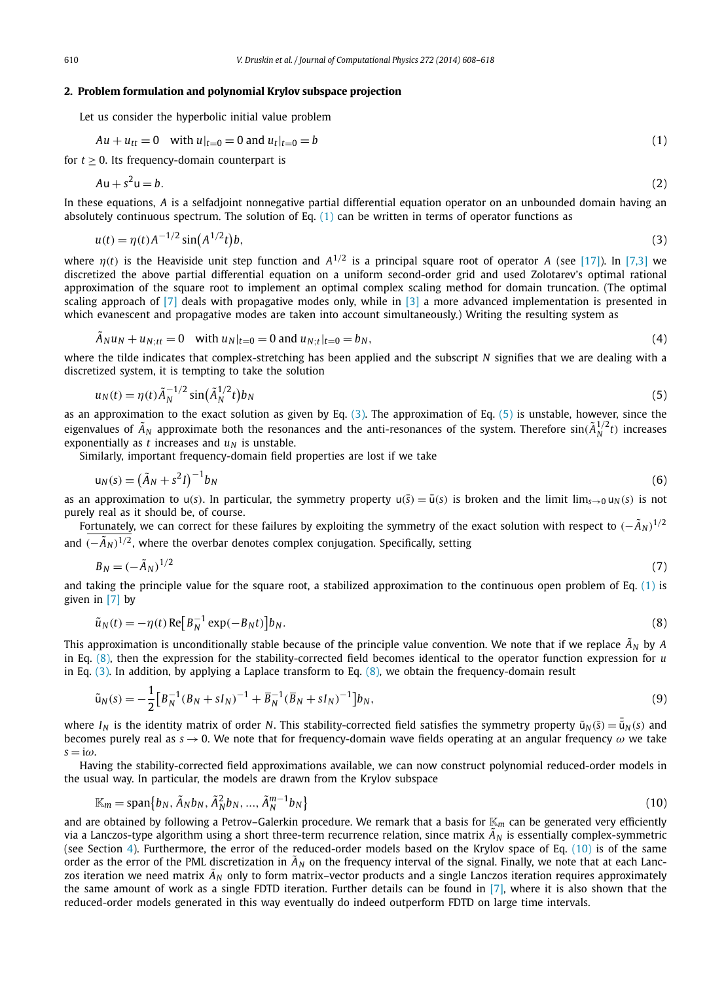#### <span id="page-2-0"></span>**2. Problem formulation and polynomial Krylov subspace projection**

Let us consider the hyperbolic initial value problem

$$
Au + u_{tt} = 0 \quad \text{with } u|_{t=0} = 0 \text{ and } u_t|_{t=0} = b \tag{1}
$$

for  $t \geq 0$ . Its frequency-domain counterpart is

$$
Au + s^2 u = b. \tag{2}
$$

In these equations, *A* is a selfadjoint nonnegative partial differential equation operator on an unbounded domain having an absolutely continuous spectrum. The solution of Eq. (1) can be written in terms of operator functions as

$$
u(t) = \eta(t)A^{-1/2}\sin(A^{1/2}t)b,
$$
\n(3)

where  $\eta(t)$  is the Heaviside unit step function and  $A^{1/2}$  is a principal square root of operator A (see [\[17\]\)](#page-10-0). In [\[7,3\]](#page-10-0) we discretized the above partial differential equation on a uniform second-order grid and used Zolotarev's optimal rational approximation of the square root to implement an optimal complex scaling method for domain truncation. (The optimal scaling approach of  $[7]$  deals with propagative modes only, while in  $[3]$  a more advanced implementation is presented in which evanescent and propagative modes are taken into account simultaneously.) Writing the resulting system as

$$
\tilde{A}_N u_N + u_{N;tt} = 0 \quad \text{with } u_N|_{t=0} = 0 \text{ and } u_{N;t}|_{t=0} = b_N,
$$
\n(4)

where the tilde indicates that complex-stretching has been applied and the subscript *N* signifies that we are dealing with a discretized system, it is tempting to take the solution

$$
u_N(t) = \eta(t)\tilde{A}_N^{-1/2}\sin(\tilde{A}_N^{1/2}t)b_N
$$
\n<sup>(5)</sup>

as an approximation to the exact solution as given by Eq.  $(3)$ . The approximation of Eq.  $(5)$  is unstable, however, since the eigenvalues of  $\tilde{A}_N$  approximate both the resonances and the anti-resonances of the system. Therefore  $sin(\tilde{A}_N^{1/2}t)$  increases exponentially as  $t$  increases and  $u_N$  is unstable.

Similarly, important frequency-domain field properties are lost if we take

$$
u_N(s) = \left(\tilde{A}_N + s^2 I\right)^{-1} b_N \tag{6}
$$

as an approximation to  $u(s)$ . In particular, the symmetry property  $u(\bar{s}) = \bar{u}(s)$  is broken and the limit  $\lim_{s\to 0} u_N(s)$  is not purely real as it should be, of course.

Fortunately, we can correct for these failures by exploiting the symmetry of the exact solution with respect to  $(-\tilde{A}_N)^{1/2}$ and  $(-\tilde{A}_N)^{1/2}$ , where the overbar denotes complex conjugation. Specifically, setting

$$
B_N = (-\tilde{A}_N)^{1/2} \tag{7}
$$

and taking the principle value for the square root, a stabilized approximation to the continuous open problem of Eq.  $(1)$  is given in [\[7\]](#page-10-0) by

$$
\tilde{u}_N(t) = -\eta(t) \operatorname{Re} \left[ B_N^{-1} \exp(-B_N t) \right] b_N. \tag{8}
$$

This approximation is unconditionally stable because of the principle value convention. We note that if we replace  $\tilde{A}_N$  by A in Eq. (8), then the expression for the stability-corrected field becomes identical to the operator function expression for *u* in Eq.  $(3)$ . In addition, by applying a Laplace transform to Eq.  $(8)$ , we obtain the frequency-domain result

$$
\tilde{u}_N(s) = -\frac{1}{2} \Big[ B_N^{-1} (B_N + sI_N)^{-1} + \overline{B}_N^{-1} (\overline{B}_N + sI_N)^{-1} \Big] b_N,
$$
\n(9)

where  $I_N$  is the identity matrix of order  $N.$  This stability-corrected field satisfies the symmetry property  $\tilde u_N(\bar s)=\bar{\tilde u}_N(s)$  and becomes purely real as *s* → 0. We note that for frequency-domain wave fields operating at an angular frequency *ω* we take *s* = i*ω*.

Having the stability-corrected field approximations available, we can now construct polynomial reduced-order models in the usual way. In particular, the models are drawn from the Krylov subspace

$$
\mathbb{K}_m = \text{span}\{b_N, \tilde{A}_N b_N, \tilde{A}_N^2 b_N, \dots, \tilde{A}_N^{m-1} b_N\}
$$
\n(10)

and are obtained by following a Petrov–Galerkin procedure. We remark that a basis for  $K_m$  can be generated very efficiently via a Lanczos-type algorithm using a short three-term recurrence relation, since matrix  $\tilde{A}_N$  is essentially complex-symmetric (see Section [4\)](#page-4-0). Furthermore, the error of the reduced-order models based on the Krylov space of Eq. (10) is of the same order as the error of the PML discretization in  $\tilde{A}_N$  on the frequency interval of the signal. Finally, we note that at each Lanczos iteration we need matrix  $\tilde{A}_N$  only to form matrix–vector products and a single Lanczos iteration requires approximately the same amount of work as a single FDTD iteration. Further details can be found in [\[7\],](#page-10-0) where it is also shown that the reduced-order models generated in this way eventually do indeed outperform FDTD on large time intervals.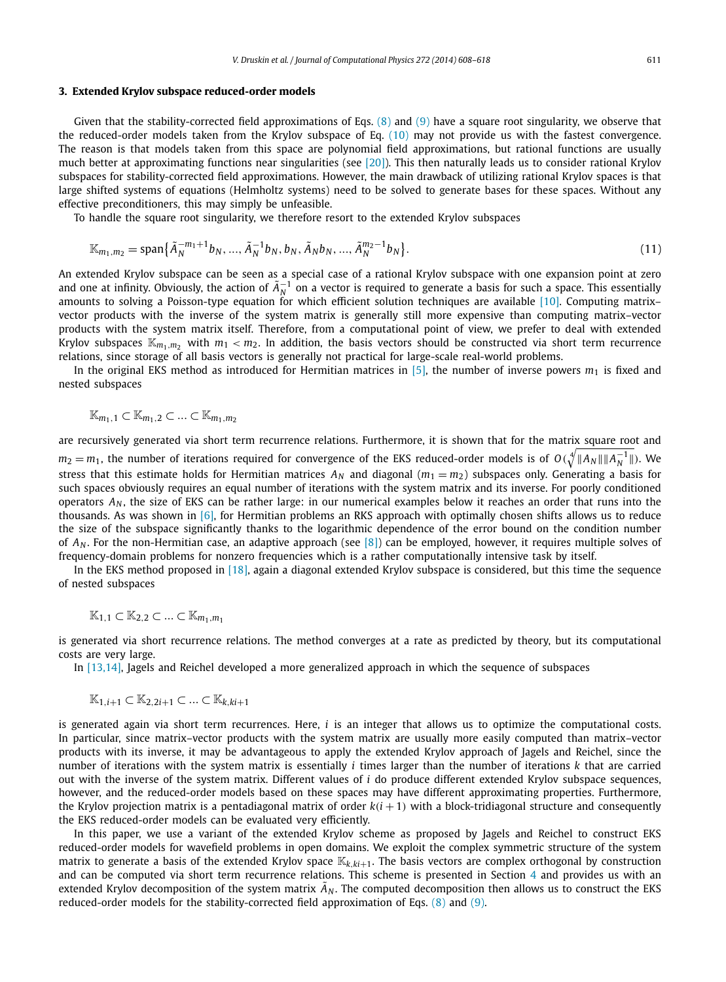#### **3. Extended Krylov subspace reduced-order models**

Given that the stability-corrected field approximations of Eqs.  $(8)$  and  $(9)$  have a square root singularity, we observe that the reduced-order models taken from the Krylov subspace of Eq. [\(10\)](#page-2-0) may not provide us with the fastest convergence. The reason is that models taken from this space are polynomial field approximations, but rational functions are usually much better at approximating functions near singularities (see [\[20\]\)](#page-10-0). This then naturally leads us to consider rational Krylov subspaces for stability-corrected field approximations. However, the main drawback of utilizing rational Krylov spaces is that large shifted systems of equations (Helmholtz systems) need to be solved to generate bases for these spaces. Without any effective preconditioners, this may simply be unfeasible.

To handle the square root singularity, we therefore resort to the extended Krylov subspaces

$$
\mathbb{K}_{m_1,m_2} = \text{span}\{\tilde{A}_N^{-m_1+1}b_N, \dots, \tilde{A}_N^{-1}b_N, b_N, \tilde{A}_Nb_N, \dots, \tilde{A}_N^{m_2-1}b_N\}.
$$
\n(11)

An extended Krylov subspace can be seen as a special case of a rational Krylov subspace with one expansion point at zero and one at infinity. Obviously, the action of  $\tilde{A}_N^{-1}$  on a vector is required to generate a basis for such a space. This essentially amounts to solving a Poisson-type equation for which efficient solution techniques are available [\[10\].](#page-10-0) Computing matrix– vector products with the inverse of the system matrix is generally still more expensive than computing matrix–vector products with the system matrix itself. Therefore, from a computational point of view, we prefer to deal with extended Krylov subspaces  $K_{m_1,m_2}$  with  $m_1 < m_2$ . In addition, the basis vectors should be constructed via short term recurrence relations, since storage of all basis vectors is generally not practical for large-scale real-world problems.

In the original EKS method as introduced for Hermitian matrices in  $[5]$ , the number of inverse powers  $m_1$  is fixed and nested subspaces

$$
\mathbb{K}_{m_1,1}\subset\mathbb{K}_{m_1,2}\subset\ldots\subset\mathbb{K}_{m_1,m_2}
$$

are recursively generated via short term recurrence relations. Furthermore, it is shown that for the matrix square root and  $m_2 = m_1$ , the number of iterations required for convergence of the EKS reduced-order models is of  $O(\sqrt[4]{\|A_N\|\|A_N^{-1}\|})$ . We stress that this estimate holds for Hermitian matrices  $A_N$  and diagonal  $(m_1 = m_2)$  subspaces only. Generating a basis for such spaces obviously requires an equal number of iterations with the system matrix and its inverse. For poorly conditioned operators  $A_N$ , the size of EKS can be rather large: in our numerical examples below it reaches an order that runs into the thousands. As was shown in  $[6]$ , for Hermitian problems an RKS approach with optimally chosen shifts allows us to reduce the size of the subspace significantly thanks to the logarithmic dependence of the error bound on the condition number of *AN* . For the non-Hermitian case, an adaptive approach (see [\[8\]\)](#page-10-0) can be employed, however, it requires multiple solves of frequency-domain problems for nonzero frequencies which is a rather computationally intensive task by itself.

In the EKS method proposed in [\[18\],](#page-10-0) again a diagonal extended Krylov subspace is considered, but this time the sequence of nested subspaces

$$
\mathbb{K}_{1,1} \subset \mathbb{K}_{2,2} \subset \ldots \subset \mathbb{K}_{m_1,m_1}
$$

is generated via short recurrence relations. The method converges at a rate as predicted by theory, but its computational costs are very large.

In [\[13,14\],](#page-10-0) Jagels and Reichel developed a more generalized approach in which the sequence of subspaces

$$
\mathbb{K}_{1,i+1} \subset \mathbb{K}_{2,2i+1} \subset ... \subset \mathbb{K}_{k,ki+1}
$$

is generated again via short term recurrences. Here, *i* is an integer that allows us to optimize the computational costs. In particular, since matrix–vector products with the system matrix are usually more easily computed than matrix–vector products with its inverse, it may be advantageous to apply the extended Krylov approach of Jagels and Reichel, since the number of iterations with the system matrix is essentially *i* times larger than the number of iterations *k* that are carried out with the inverse of the system matrix. Different values of *i* do produce different extended Krylov subspace sequences, however, and the reduced-order models based on these spaces may have different approximating properties. Furthermore, the Krylov projection matrix is a pentadiagonal matrix of order  $k(i + 1)$  with a block-tridiagonal structure and consequently the EKS reduced-order models can be evaluated very efficiently.

In this paper, we use a variant of the extended Krylov scheme as proposed by Jagels and Reichel to construct EKS reduced-order models for wavefield problems in open domains. We exploit the complex symmetric structure of the system matrix to generate a basis of the extended Krylov space K*k,ki*+1. The basis vectors are complex orthogonal by construction and can be computed via short term recurrence relations. This scheme is presented in Section [4](#page-4-0) and provides us with an extended Krylov decomposition of the system matrix  $\tilde{A}_N$ . The computed decomposition then allows us to construct the EKS reduced-order models for the stability-corrected field approximation of Eqs. [\(8\)](#page-2-0) and [\(9\).](#page-2-0)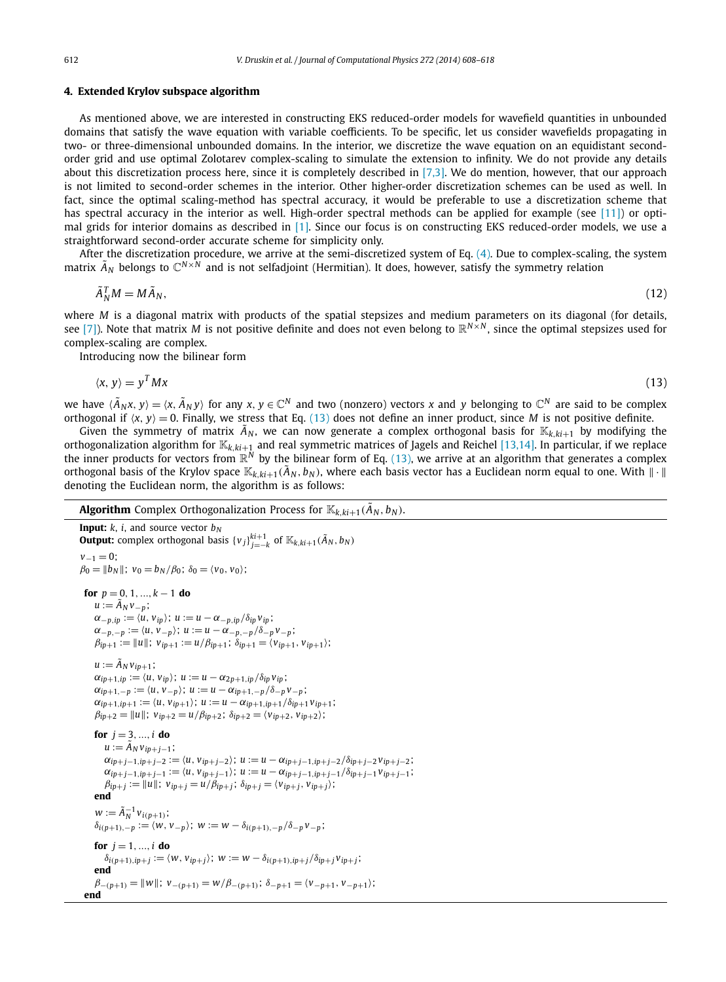#### <span id="page-4-0"></span>**4. Extended Krylov subspace algorithm**

As mentioned above, we are interested in constructing EKS reduced-order models for wavefield quantities in unbounded domains that satisfy the wave equation with variable coefficients. To be specific, let us consider wavefields propagating in two- or three-dimensional unbounded domains. In the interior, we discretize the wave equation on an equidistant secondorder grid and use optimal Zolotarev complex-scaling to simulate the extension to infinity. We do not provide any details about this discretization process here, since it is completely described in  $[7,3]$ . We do mention, however, that our approach is not limited to second-order schemes in the interior. Other higher-order discretization schemes can be used as well. In fact, since the optimal scaling-method has spectral accuracy, it would be preferable to use a discretization scheme that has spectral accuracy in the interior as well. High-order spectral methods can be applied for example (see [\[11\]\)](#page-10-0) or optimal grids for interior domains as described in [\[1\].](#page-10-0) Since our focus is on constructing EKS reduced-order models, we use a straightforward second-order accurate scheme for simplicity only.

After the discretization procedure, we arrive at the semi-discretized system of Eq. [\(4\).](#page-2-0) Due to complex-scaling, the system matrix  $\tilde{A}_N$  belongs to  $\mathbb{C}^{N\times N}$  and is not selfadjoint (Hermitian). It does, however, satisfy the symmetry relation

$$
\tilde{A}_N^T M = M \tilde{A}_N,\tag{12}
$$

where *M* is a diagonal matrix with products of the spatial stepsizes and medium parameters on its diagonal (for details, see [\[7\]\)](#page-10-0). Note that matrix *M* is not positive definite and does not even belong to  $\mathbb{R}^{N \times N}$ , since the optimal stepsizes used for complex-scaling are complex.

Introducing now the bilinear form

$$
\langle x, y \rangle = y^T M x \tag{13}
$$

we have  $\langle \tilde{A}_N x, y \rangle = \langle x, \tilde{A}_N y \rangle$  for any  $x, y \in \mathbb{C}^N$  and two (nonzero) vectors x and y belonging to  $\mathbb{C}^N$  are said to be complex orthogonal if  $\langle x, y \rangle = 0$ . Finally, we stress that Eq. (13) does not define an inner product, since *M* is not positive definite.

Given the symmetry of matrix  $\tilde{A}_N$ , we can now generate a complex orthogonal basis for  $\mathbb{K}_{k,k,i+1}$  by modifying the orthogonalization algorithm for K*k,ki*+<sup>1</sup> and real symmetric matrices of Jagels and Reichel [\[13,14\].](#page-10-0) In particular, if we replace the inner products for vectors from  $\mathbb{R}^N$  by the bilinear form of Eq. (13), we arrive at an algorithm that generates a complex orthogonal basis of the Krylov space  $\mathbb{K}_{k,k,i+1}(\tilde{A}_N, b_N)$ , where each basis vector has a Euclidean norm equal to one. With  $\|\cdot\|$ denoting the Euclidean norm, the algorithm is as follows:

#### **Algorithm** Complex Orthogonalization Process for  $\mathbb{K}_{k,ki+1}(\tilde{A}_N, b_N)$ .

```
Input: k, i, and source vector b<sub>N</sub>Output: complex orthogonal basis \{v_j\}_{j=-k}^{k+1} of \mathbb{K}_{k,ki+1}(\tilde{A}_N, b_N)v_{-1} = 0;
\beta_0 = ||b_N||; v_0 = b_N/\beta_0; \delta_0 = \langle v_0, v_0 \rangle;
 for p = 0, 1, ..., k - 1 do
     u := \tilde{A}_N v_{-p};
     \alpha_{-p,ip} := \langle u, v_{ip} \rangle; u := u - \alpha_{-p,ip}/\delta_{ip}v_{ip};
     \alpha_{-p,-p} := \langle u, v_{-p} \rangle; u := u - \alpha_{-p,-p}/\delta_{-p}v_{-p};
     \beta_{ip+1} := ||u||; v_{ip+1} := u/\beta_{ip+1}; \delta_{ip+1} = \langle v_{ip+1}, v_{ip+1} \rangle;u := \tilde{A}_N v_{ip+1};\alpha_{ip+1,ip} := \langle u, v_{ip} \rangle; u := u - \alpha_{2p+1,ip}/\delta_{ip}v_{ip};
     \alpha_{ip+1,-p} := \langle u, v_{-p} \rangle; u := u - \alpha_{ip+1,-p}/\delta_{-p}v_{-p};
     \alpha_{ip+1,ip+1} := \langle u, v_{ip+1} \rangle; u := u - \alpha_{ip+1,ip+1}/\delta_{ip+1} v_{ip+1};
     \beta_{ip+2} = ||u||; v_{ip+2} = u/\beta_{ip+2}; \delta_{ip+2} = \langle v_{ip+2}, v_{ip+2} \rangle;
     for j = 3, ..., i do
         u := \tilde{A}_N v_{ip+j-1};\alpha_{ip+j-1,ip+j-2} := \langle u, v_{ip+j-2} \rangle; u := u - \alpha_{ip+j-1,ip+j-2}/\delta_{ip+j-2}v_{ip+j-2};
         \alpha_{ip+j-1,ip+j-1} := \langle u, v_{ip+j-1} \rangle; u := u - \alpha_{ip+j-1,ip+j-1}/\delta_{ip+j-1}v_{ip+j-1};
         \beta_{ip+j} := ||u||; v_{ip+j} = u/\beta_{ip+j}; \delta_{ip+j} = \langle v_{ip+j}, v_{ip+j} \rangle;end
      w := \tilde{A}_N^{-1} v_{i(p+1)};\delta<sup>i</sup>(p+1),−p := \langle W, V-p \rangle; W := W - \delta<sup>i</sup>(p+1),−p</sub>\langle \delta−pV-p;
     for j = 1, ..., i do
         \delta_{i(p+1),ip+j}:=\langle w, v_{ip+j}\rangle; \ w:=w-\delta_{i(p+1),ip+j}/\delta_{ip+j}v_{ip+j};end
     \beta<sub>−</sub>(p+1) = ||W||; v<sub>−(p+1</sub>) = w/\beta<sub>−(p+1</sub>); \delta<sub>−p+1</sub> = \langle v_{-p+1}, v_{-p+1} \rangle;
 end
```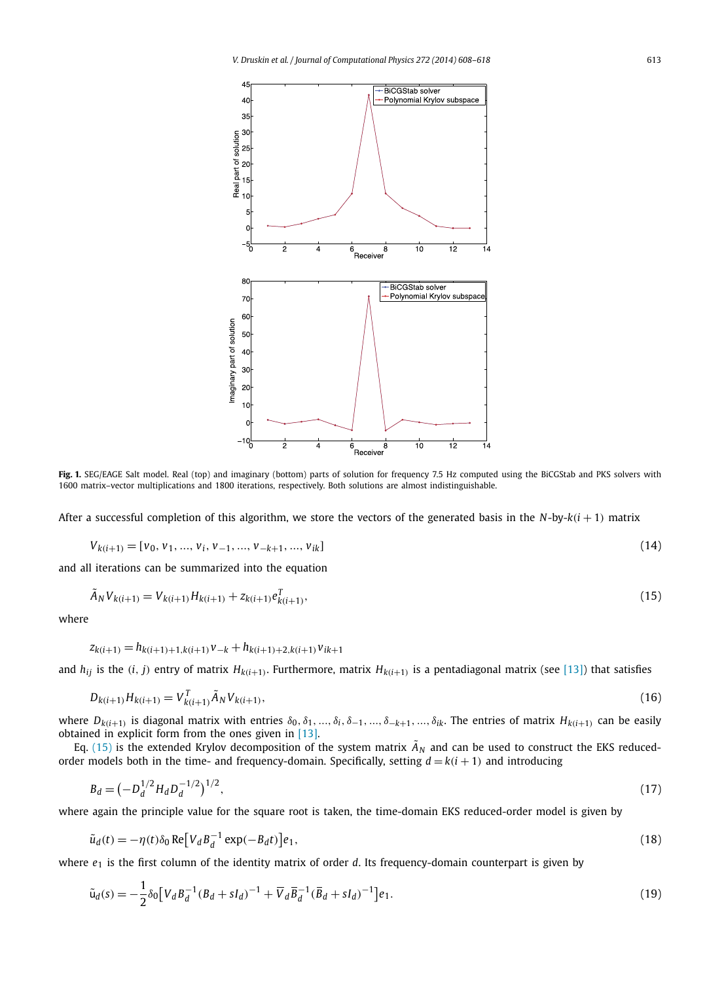<span id="page-5-0"></span>

**Fig. 1.** SEG/EAGE Salt model. Real (top) and imaginary (bottom) parts of solution for frequency 7.5 Hz computed using the BiCGStab and PKS solvers with 1600 matrix–vector multiplications and 1800 iterations, respectively. Both solutions are almost indistinguishable.

After a successful completion of this algorithm, we store the vectors of the generated basis in the *N*-by-*k(i* + 1*)* matrix

$$
V_{k(i+1)} = [v_0, v_1, ..., v_i, v_{-1}, ..., v_{-k+1}, ..., v_{ik}]
$$
\n(14)

and all iterations can be summarized into the equation

$$
\tilde{A}_N V_{k(i+1)} = V_{k(i+1)} H_{k(i+1)} + z_{k(i+1)} e_{k(i+1)}^T,
$$
\n(15)

where

$$
z_{k(i+1)} = h_{k(i+1)+1, k(i+1)}v_{-k} + h_{k(i+1)+2, k(i+1)}v_{ik+1}
$$

and  $h_{ij}$  is the  $(i, j)$  entry of matrix  $H_{k(i+1)}$ . Furthermore, matrix  $H_{k(i+1)}$  is a pentadiagonal matrix (see [\[13\]\)](#page-10-0) that satisfies

$$
D_{k(i+1)}H_{k(i+1)} = V_{k(i+1)}^T \tilde{A}_N V_{k(i+1)},
$$
\n(16)

where  $D_{k(i+1)}$  is diagonal matrix with entries  $\delta_0, \delta_1, ..., \delta_i, \delta_{-1}, ..., \delta_{-k+1}, ..., \delta_{ik}$ . The entries of matrix  $H_{k(i+1)}$  can be easily obtained in explicit form from the ones given in [\[13\].](#page-10-0)

Eq. (15) is the extended Krylov decomposition of the system matrix  $\tilde{A}_N$  and can be used to construct the EKS reducedorder models both in the time- and frequency-domain. Specifically, setting  $d = k(i + 1)$  and introducing

$$
B_d = \left(-D_d^{1/2} H_d D_d^{-1/2}\right)^{1/2},\tag{17}
$$

where again the principle value for the square root is taken, the time-domain EKS reduced-order model is given by

$$
\tilde{u}_d(t) = -\eta(t)\delta_0 \operatorname{Re}\left[V_d B_d^{-1} \exp(-B_d t)\right] e_1,\tag{18}
$$

where *e*<sup>1</sup> is the first column of the identity matrix of order *d*. Its frequency-domain counterpart is given by

$$
\tilde{u}_d(s) = -\frac{1}{2}\delta_0 \left[ V_d B_d^{-1} (B_d + sI_d)^{-1} + \overline{V}_d \overline{B}_d^{-1} (\overline{B}_d + sI_d)^{-1} \right] e_1.
$$
\n(19)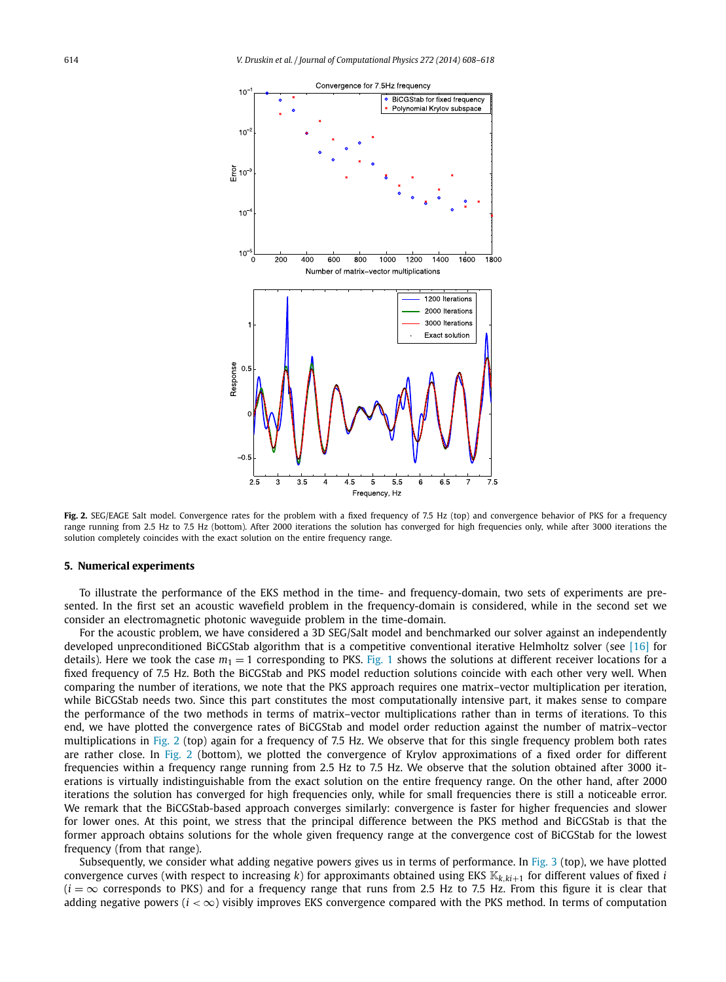<span id="page-6-0"></span>

Fig. 2. SEG/EAGE Salt model. Convergence rates for the problem with a fixed frequency of 7.5 Hz (top) and convergence behavior of PKS for a frequency range running from 2.5 Hz to 7.5 Hz (bottom). After 2000 iterations the solution has converged for high frequencies only, while after 3000 iterations the solution completely coincides with the exact solution on the entire frequency range.

#### **5. Numerical experiments**

To illustrate the performance of the EKS method in the time- and frequency-domain, two sets of experiments are presented. In the first set an acoustic wavefield problem in the frequency-domain is considered, while in the second set we consider an electromagnetic photonic waveguide problem in the time-domain.

For the acoustic problem, we have considered a 3D SEG/Salt model and benchmarked our solver against an independently developed unpreconditioned BiCGStab algorithm that is a competitive conventional iterative Helmholtz solver (see [\[16\]](#page-10-0) for details). Here we took the case  $m_1 = 1$  corresponding to PKS. [Fig. 1](#page-5-0) shows the solutions at different receiver locations for a fixed frequency of 7.5 Hz. Both the BiCGStab and PKS model reduction solutions coincide with each other very well. When comparing the number of iterations, we note that the PKS approach requires one matrix–vector multiplication per iteration, while BiCGStab needs two. Since this part constitutes the most computationally intensive part, it makes sense to compare the performance of the two methods in terms of matrix–vector multiplications rather than in terms of iterations. To this end, we have plotted the convergence rates of BiCGStab and model order reduction against the number of matrix–vector multiplications in Fig. 2 (top) again for a frequency of 7.5 Hz. We observe that for this single frequency problem both rates are rather close. In Fig. 2 (bottom), we plotted the convergence of Krylov approximations of a fixed order for different frequencies within a frequency range running from 2.5 Hz to 7.5 Hz. We observe that the solution obtained after 3000 iterations is virtually indistinguishable from the exact solution on the entire frequency range. On the other hand, after 2000 iterations the solution has converged for high frequencies only, while for small frequencies there is still a noticeable error. We remark that the BiCGStab-based approach converges similarly: convergence is faster for higher frequencies and slower for lower ones. At this point, we stress that the principal difference between the PKS method and BiCGStab is that the former approach obtains solutions for the whole given frequency range at the convergence cost of BiCGStab for the lowest frequency (from that range).

Subsequently, we consider what adding negative powers gives us in terms of performance. In [Fig. 3](#page-7-0) (top), we have plotted convergence curves (with respect to increasing  $k$ ) for approximants obtained using EKS  $\mathbb{K}_{k,k+1}$  for different values of fixed *i*  $(i = \infty$  corresponds to PKS) and for a frequency range that runs from 2.5 Hz to 7.5 Hz. From this figure it is clear that adding negative powers  $(i < \infty)$  visibly improves EKS convergence compared with the PKS method. In terms of computation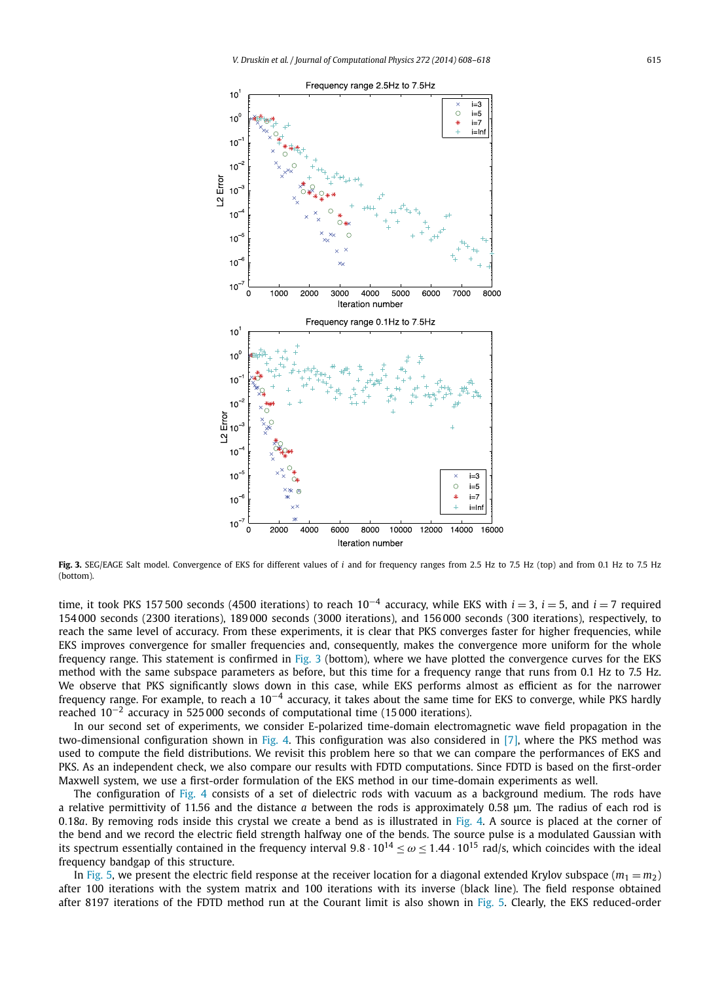<span id="page-7-0"></span>

Fig. 3. SEG/EAGE Salt model. Convergence of EKS for different values of *i* and for frequency ranges from 2.5 Hz to 7.5 Hz (top) and from 0.1 Hz to 7.5 Hz (bottom).

time, it took PKS 157 500 seconds (4500 iterations) to reach 10−<sup>4</sup> accuracy, while EKS with *i* = 3, *i* = 5, and *i* = 7 required 154 000 seconds (2300 iterations), 189 000 seconds (3000 iterations), and 156 000 seconds (300 iterations), respectively, to reach the same level of accuracy. From these experiments, it is clear that PKS converges faster for higher frequencies, while EKS improves convergence for smaller frequencies and, consequently, makes the convergence more uniform for the whole frequency range. This statement is confirmed in Fig. 3 (bottom), where we have plotted the convergence curves for the EKS method with the same subspace parameters as before, but this time for a frequency range that runs from 0.1 Hz to 7.5 Hz. We observe that PKS significantly slows down in this case, while EKS performs almost as efficient as for the narrower frequency range. For example, to reach a  $10^{-4}$  accuracy, it takes about the same time for EKS to converge, while PKS hardly reached 10−<sup>2</sup> accuracy in 525 000 seconds of computational time (15 000 iterations).

In our second set of experiments, we consider E-polarized time-domain electromagnetic wave field propagation in the two-dimensional configuration shown in [Fig. 4.](#page-8-0) This configuration was also considered in [\[7\],](#page-10-0) where the PKS method was used to compute the field distributions. We revisit this problem here so that we can compare the performances of EKS and PKS. As an independent check, we also compare our results with FDTD computations. Since FDTD is based on the first-order Maxwell system, we use a first-order formulation of the EKS method in our time-domain experiments as well.

The configuration of [Fig. 4](#page-8-0) consists of a set of dielectric rods with vacuum as a background medium. The rods have a relative permittivity of 11.56 and the distance *a* between the rods is approximately 0.58 μm. The radius of each rod is 0*.*18*a*. By removing rods inside this crystal we create a bend as is illustrated in [Fig. 4.](#page-8-0) A source is placed at the corner of the bend and we record the electric field strength halfway one of the bends. The source pulse is a modulated Gaussian with its spectrum essentially contained in the frequency interval  $9.8 \cdot 10^{14} \le \omega \le 1.44 \cdot 10^{15}$  rad/s, which coincides with the ideal frequency bandgap of this structure.

In [Fig. 5,](#page-8-0) we present the electric field response at the receiver location for a diagonal extended Krylov subspace  $(m_1 = m_2)$ after 100 iterations with the system matrix and 100 iterations with its inverse (black line). The field response obtained after 8197 iterations of the FDTD method run at the Courant limit is also shown in [Fig. 5.](#page-8-0) Clearly, the EKS reduced-order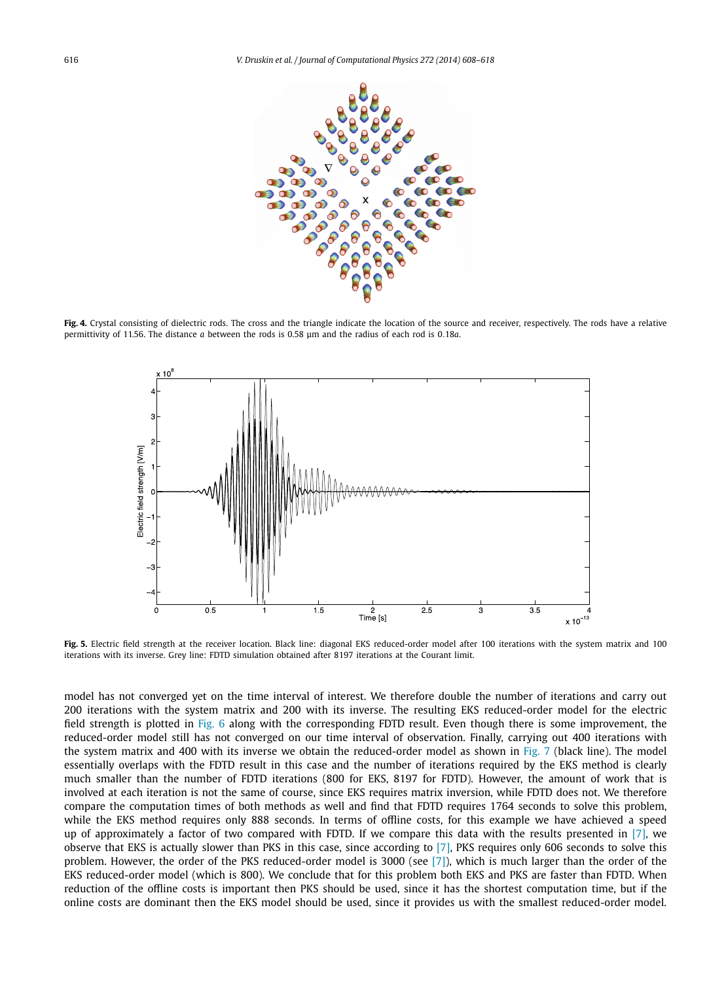<span id="page-8-0"></span>

Fig. 4. Crystal consisting of dielectric rods. The cross and the triangle indicate the location of the source and receiver, respectively. The rods have a relative permittivity of 11.56. The distance *a* between the rods is 0.58 μm and the radius of each rod is 0*.*18*a*.



Fig. 5. Electric field strength at the receiver location. Black line: diagonal EKS reduced-order model after 100 iterations with the system matrix and 100 iterations with its inverse. Grey line: FDTD simulation obtained after 8197 iterations at the Courant limit.

model has not converged yet on the time interval of interest. We therefore double the number of iterations and carry out 200 iterations with the system matrix and 200 with its inverse. The resulting EKS reduced-order model for the electric field strength is plotted in [Fig. 6](#page-9-0) along with the corresponding FDTD result. Even though there is some improvement, the reduced-order model still has not converged on our time interval of observation. Finally, carrying out 400 iterations with the system matrix and 400 with its inverse we obtain the reduced-order model as shown in [Fig. 7](#page-9-0) (black line). The model essentially overlaps with the FDTD result in this case and the number of iterations required by the EKS method is clearly much smaller than the number of FDTD iterations (800 for EKS, 8197 for FDTD). However, the amount of work that is involved at each iteration is not the same of course, since EKS requires matrix inversion, while FDTD does not. We therefore compare the computation times of both methods as well and find that FDTD requires 1764 seconds to solve this problem, while the EKS method requires only 888 seconds. In terms of offline costs, for this example we have achieved a speed up of approximately a factor of two compared with FDTD. If we compare this data with the results presented in [\[7\],](#page-10-0) we observe that EKS is actually slower than PKS in this case, since according to [\[7\],](#page-10-0) PKS requires only 606 seconds to solve this problem. However, the order of the PKS reduced-order model is 3000 (see [\[7\]\)](#page-10-0), which is much larger than the order of the EKS reduced-order model (which is 800). We conclude that for this problem both EKS and PKS are faster than FDTD. When reduction of the offline costs is important then PKS should be used, since it has the shortest computation time, but if the online costs are dominant then the EKS model should be used, since it provides us with the smallest reduced-order model.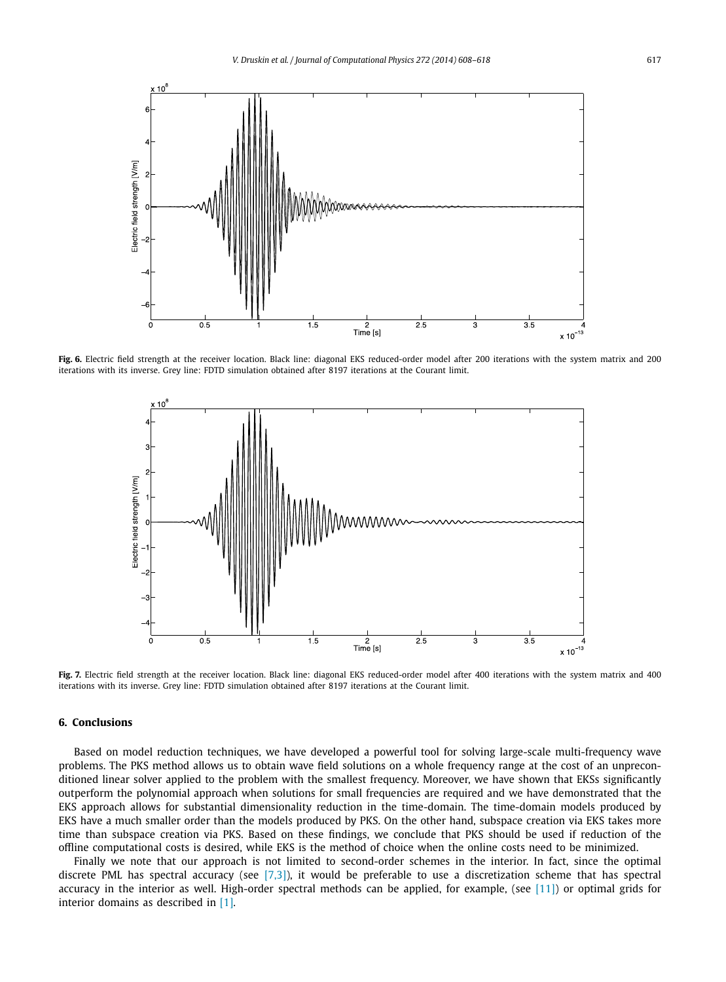<span id="page-9-0"></span>

Fig. 6. Electric field strength at the receiver location. Black line: diagonal EKS reduced-order model after 200 iterations with the system matrix and 200 iterations with its inverse. Grey line: FDTD simulation obtained after 8197 iterations at the Courant limit.



Fig. 7. Electric field strength at the receiver location. Black line: diagonal EKS reduced-order model after 400 iterations with the system matrix and 400 iterations with its inverse. Grey line: FDTD simulation obtained after 8197 iterations at the Courant limit.

### **6. Conclusions**

Based on model reduction techniques, we have developed a powerful tool for solving large-scale multi-frequency wave problems. The PKS method allows us to obtain wave field solutions on a whole frequency range at the cost of an unpreconditioned linear solver applied to the problem with the smallest frequency. Moreover, we have shown that EKSs significantly outperform the polynomial approach when solutions for small frequencies are required and we have demonstrated that the EKS approach allows for substantial dimensionality reduction in the time-domain. The time-domain models produced by EKS have a much smaller order than the models produced by PKS. On the other hand, subspace creation via EKS takes more time than subspace creation via PKS. Based on these findings, we conclude that PKS should be used if reduction of the offline computational costs is desired, while EKS is the method of choice when the online costs need to be minimized.

Finally we note that our approach is not limited to second-order schemes in the interior. In fact, since the optimal discrete PML has spectral accuracy (see  $[7,3]$ ), it would be preferable to use a discretization scheme that has spectral accuracy in the interior as well. High-order spectral methods can be applied, for example, (see [\[11\]\)](#page-10-0) or optimal grids for interior domains as described in [\[1\].](#page-10-0)